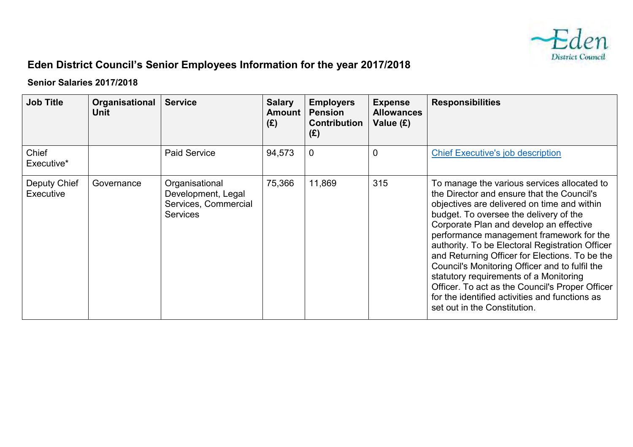

## **Eden District Council's Senior Employees Information for the year 2017/2018**

## **Senior Salaries 2017/2018**

| <b>Job Title</b>          | Organisational<br><b>Unit</b> | <b>Service</b>                                                                  | <b>Salary</b><br><b>Amount</b><br>(E) | <b>Employers</b><br><b>Pension</b><br><b>Contribution</b><br>(E) | <b>Expense</b><br><b>Allowances</b><br>Value (£) | <b>Responsibilities</b>                                                                                                                                                                                                                                                                                                                                                                                                                                                                                                                                                                                         |
|---------------------------|-------------------------------|---------------------------------------------------------------------------------|---------------------------------------|------------------------------------------------------------------|--------------------------------------------------|-----------------------------------------------------------------------------------------------------------------------------------------------------------------------------------------------------------------------------------------------------------------------------------------------------------------------------------------------------------------------------------------------------------------------------------------------------------------------------------------------------------------------------------------------------------------------------------------------------------------|
| Chief<br>Executive*       |                               | <b>Paid Service</b>                                                             | 94,573                                | $\mathbf 0$                                                      | $\mathbf 0$                                      | <b>Chief Executive's job description</b>                                                                                                                                                                                                                                                                                                                                                                                                                                                                                                                                                                        |
| Deputy Chief<br>Executive | Governance                    | Organisational<br>Development, Legal<br>Services, Commercial<br><b>Services</b> | 75,366                                | 11,869                                                           | 315                                              | To manage the various services allocated to<br>the Director and ensure that the Council's<br>objectives are delivered on time and within<br>budget. To oversee the delivery of the<br>Corporate Plan and develop an effective<br>performance management framework for the<br>authority. To be Electoral Registration Officer<br>and Returning Officer for Elections. To be the<br>Council's Monitoring Officer and to fulfil the<br>statutory requirements of a Monitoring<br>Officer. To act as the Council's Proper Officer<br>for the identified activities and functions as<br>set out in the Constitution. |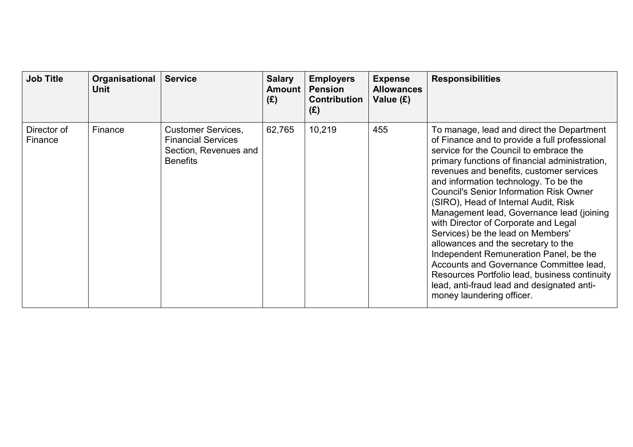| <b>Job Title</b>       | Organisational<br>Unit | <b>Service</b>                                                                                     | <b>Salary</b><br><b>Amount</b><br>(E) | <b>Employers</b><br><b>Pension</b><br><b>Contribution</b><br>(E) | <b>Expense</b><br><b>Allowances</b><br>Value (£) | <b>Responsibilities</b>                                                                                                                                                                                                                                                                                                                                                                                                                                                                                                                                                                                                                                                                                                                                 |
|------------------------|------------------------|----------------------------------------------------------------------------------------------------|---------------------------------------|------------------------------------------------------------------|--------------------------------------------------|---------------------------------------------------------------------------------------------------------------------------------------------------------------------------------------------------------------------------------------------------------------------------------------------------------------------------------------------------------------------------------------------------------------------------------------------------------------------------------------------------------------------------------------------------------------------------------------------------------------------------------------------------------------------------------------------------------------------------------------------------------|
| Director of<br>Finance | Finance                | <b>Customer Services,</b><br><b>Financial Services</b><br>Section, Revenues and<br><b>Benefits</b> | 62,765                                | 10,219                                                           | 455                                              | To manage, lead and direct the Department<br>of Finance and to provide a full professional<br>service for the Council to embrace the<br>primary functions of financial administration,<br>revenues and benefits, customer services<br>and information technology. To be the<br><b>Council's Senior Information Risk Owner</b><br>(SIRO), Head of Internal Audit, Risk<br>Management lead, Governance lead (joining<br>with Director of Corporate and Legal<br>Services) be the lead on Members'<br>allowances and the secretary to the<br>Independent Remuneration Panel, be the<br>Accounts and Governance Committee lead,<br>Resources Portfolio lead, business continuity<br>lead, anti-fraud lead and designated anti-<br>money laundering officer. |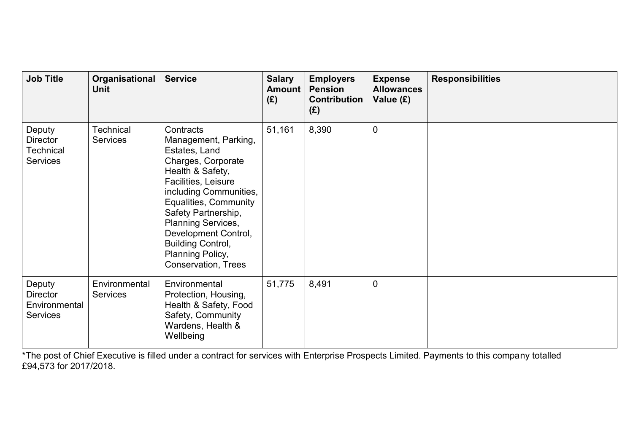| <b>Job Title</b>                                                 | Organisational<br><b>Unit</b>       | <b>Service</b>                                                                                                                                                                                                                                                                                                     | <b>Salary</b><br><b>Amount</b><br>(E) | <b>Employers</b><br><b>Pension</b><br><b>Contribution</b><br>(E) | <b>Expense</b><br><b>Allowances</b><br>Value (£) | <b>Responsibilities</b> |
|------------------------------------------------------------------|-------------------------------------|--------------------------------------------------------------------------------------------------------------------------------------------------------------------------------------------------------------------------------------------------------------------------------------------------------------------|---------------------------------------|------------------------------------------------------------------|--------------------------------------------------|-------------------------|
| Deputy<br><b>Director</b><br><b>Technical</b><br><b>Services</b> | <b>Technical</b><br><b>Services</b> | Contracts<br>Management, Parking,<br>Estates, Land<br>Charges, Corporate<br>Health & Safety,<br>Facilities, Leisure<br>including Communities,<br>Equalities, Community<br>Safety Partnership,<br>Planning Services,<br>Development Control,<br><b>Building Control,</b><br>Planning Policy,<br>Conservation, Trees | 51,161                                | 8,390                                                            | $\mathbf 0$                                      |                         |
| Deputy<br><b>Director</b><br>Environmental<br><b>Services</b>    | Environmental<br><b>Services</b>    | Environmental<br>Protection, Housing,<br>Health & Safety, Food<br>Safety, Community<br>Wardens, Health &<br>Wellbeing                                                                                                                                                                                              | 51,775                                | 8,491                                                            | $\mathbf 0$                                      |                         |

\*The post of Chief Executive is filled under a contract for services with Enterprise Prospects Limited. Payments to this company totalled £94,573 for 2017/2018.